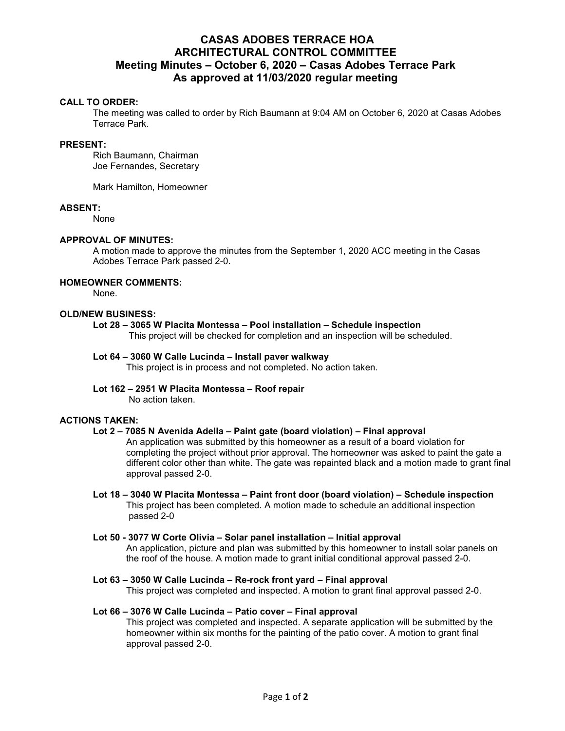# **CASAS ADOBES TERRACE HOA ARCHITECTURAL CONTROL COMMITTEE Meeting Minutes – October 6, 2020 – Casas Adobes Terrace Park As approved at 11/03/2020 regular meeting**

# **CALL TO ORDER:**

The meeting was called to order by Rich Baumann at 9:04 AM on October 6, 2020 at Casas Adobes Terrace Park.

#### **PRESENT:**

Rich Baumann, Chairman Joe Fernandes, Secretary

Mark Hamilton, Homeowner

# **ABSENT:**

None

# **APPROVAL OF MINUTES:**

A motion made to approve the minutes from the September 1, 2020 ACC meeting in the Casas Adobes Terrace Park passed 2-0.

#### **HOMEOWNER COMMENTS:**

None.

# **OLD/NEW BUSINESS:**

# **Lot 28 – 3065 W Placita Montessa – Pool installation – Schedule inspection**

This project will be checked for completion and an inspection will be scheduled.

#### **Lot 64 – 3060 W Calle Lucinda – Install paver walkway**

This project is in process and not completed. No action taken.

#### **Lot 162 – 2951 W Placita Montessa – Roof repair**

No action taken.

#### **ACTIONS TAKEN:**

# **Lot 2 – 7085 N Avenida Adella – Paint gate (board violation) – Final approval**

An application was submitted by this homeowner as a result of a board violation for completing the project without prior approval. The homeowner was asked to paint the gate a different color other than white. The gate was repainted black and a motion made to grant final approval passed 2-0.

# **Lot 18 – 3040 W Placita Montessa – Paint front door (board violation) – Schedule inspection** This project has been completed. A motion made to schedule an additional inspection passed 2-0

# **Lot 50 - 3077 W Corte Olivia – Solar panel installation – Initial approval**

An application, picture and plan was submitted by this homeowner to install solar panels on the roof of the house. A motion made to grant initial conditional approval passed 2-0.

# **Lot 63 – 3050 W Calle Lucinda – Re-rock front yard – Final approval**

This project was completed and inspected. A motion to grant final approval passed 2-0.

#### **Lot 66 – 3076 W Calle Lucinda – Patio cover – Final approval**

This project was completed and inspected. A separate application will be submitted by the homeowner within six months for the painting of the patio cover. A motion to grant final approval passed 2-0.